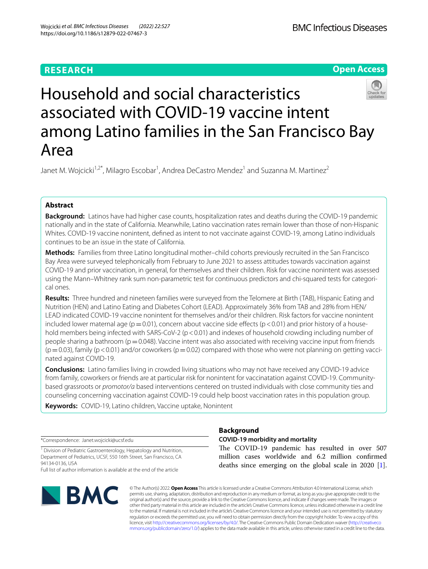# **RESEARCH**

**Open Access**

# Household and social characteristics associated with COVID-19 vaccine intent among Latino families in the San Francisco Bay Area

Janet M. Wojcicki<sup>1,2\*</sup>, Milagro Escobar<sup>1</sup>, Andrea DeCastro Mendez<sup>1</sup> and Suzanna M. Martinez<sup>2</sup>

# **Abstract**

**Background:** Latinos have had higher case counts, hospitalization rates and deaths during the COVID-19 pandemic nationally and in the state of California. Meanwhile, Latino vaccination rates remain lower than those of non-Hispanic Whites. COVID-19 vaccine nonintent, defned as intent to not vaccinate against COVID-19, among Latino individuals continues to be an issue in the state of California.

**Methods:** Families from three Latino longitudinal mother–child cohorts previously recruited in the San Francisco Bay Area were surveyed telephonically from February to June 2021 to assess attitudes towards vaccination against COVID-19 and prior vaccination, in general, for themselves and their children. Risk for vaccine nonintent was assessed using the Mann–Whitney rank sum non-parametric test for continuous predictors and chi-squared tests for categorical ones.

**Results:** Three hundred and nineteen families were surveyed from the Telomere at Birth (TAB), Hispanic Eating and Nutrition (HEN) and Latino Eating and Diabetes Cohort (LEAD). Approximately 36% from TAB and 28% from HEN/ LEAD indicated COVID-19 vaccine nonintent for themselves and/or their children. Risk factors for vaccine nonintent included lower maternal age ( $p=0.01$ ), concern about vaccine side effects ( $p<0.01$ ) and prior history of a household members being infected with SARS-CoV-2 (p < 0.01) and indexes of household crowding including number of people sharing a bathroom ( $p=0.048$ ). Vaccine intent was also associated with receiving vaccine input from friends  $(p=0.03)$ , family (p < 0.01) and/or coworkers (p=0.02) compared with those who were not planning on getting vaccinated against COVID-19.

**Conclusions:** Latino families living in crowded living situations who may not have received any COVID-19 advice from family, coworkers or friends are at particular risk for nonintent for vaccinatation against COVID-19. Communitybased grassroots or *promotor/a* based interventions centered on trusted individuals with close community ties and counseling concerning vaccination against COVID-19 could help boost vaccination rates in this population group.

**Keywords:** COVID-19, Latino children, Vaccine uptake, Nonintent

\*Correspondence: Janet.wojcicki@ucsf.edu

<sup>1</sup> Division of Pediatric Gastroenterology, Hepatology and Nutrition, Department of Pediatrics, UCSF, 550 16th Street, San Francisco, CA 94134-0136, USA

Full list of author information is available at the end of the article



# **Background**

# **COVID‑19 morbidity and mortality**

The COVID-19 pandemic has resulted in over 507 million cases worldwide and 6.2 million confrmed deaths since emerging on the global scale in 2020 [\[1](#page-8-0)].

© The Author(s) 2022. **Open Access** This article is licensed under a Creative Commons Attribution 4.0 International License, which permits use, sharing, adaptation, distribution and reproduction in any medium or format, as long as you give appropriate credit to the original author(s) and the source, provide a link to the Creative Commons licence, and indicate if changes were made. The images or other third party material in this article are included in the article's Creative Commons licence, unless indicated otherwise in a credit line to the material. If material is not included in the article's Creative Commons licence and your intended use is not permitted by statutory regulation or exceeds the permitted use, you will need to obtain permission directly from the copyright holder. To view a copy of this licence, visit [http://creativecommons.org/licenses/by/4.0/.](http://creativecommons.org/licenses/by/4.0/) The Creative Commons Public Domain Dedication waiver ([http://creativeco](http://creativecommons.org/publicdomain/zero/1.0/) [mmons.org/publicdomain/zero/1.0/](http://creativecommons.org/publicdomain/zero/1.0/)) applies to the data made available in this article, unless otherwise stated in a credit line to the data.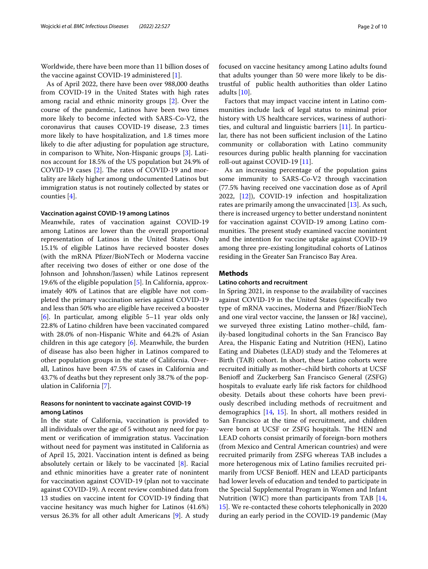Worldwide, there have been more than 11 billion doses of the vaccine against COVID-19 administered [[1\]](#page-8-0).

As of April 2022, there have been over 988,000 deaths from COVID-19 in the United States with high rates among racial and ethnic minority groups [[2](#page-8-1)]. Over the course of the pandemic, Latinos have been two times more likely to become infected with SARS-Co-V2, the coronavirus that causes COVID-19 disease, 2.3 times more likely to have hospitalization, and 1.8 times more likely to die after adjusting for population age structure, in comparison to White, Non-Hispanic groups [[3](#page-8-2)]. Latinos account for 18.5% of the US population but 24.9% of COVID-19 cases  $[2]$  $[2]$ . The rates of COVID-19 and mortality are likely higher among undocumented Latinos but immigration status is not routinely collected by states or counties [[4\]](#page-8-3).

#### **Vaccination against COVID‑19 among Latinos**

Meanwhile, rates of vaccination against COVID-19 among Latinos are lower than the overall proportional representation of Latinos in the United States. Only 15.1% of eligible Latinos have recieved booster doses (with the mRNA Pfzer/BioNTech or Moderna vaccine after receiving two doses of either or one dose of the Johnson and Johnshon/Jassen) while Latinos represent 19.6% of the eligible population [[5](#page-8-4)]. In California, approximately 40% of Latinos that are eligible have not completed the primary vaccination series against COVID-19 and less than 50% who are eligible have received a booster [[6\]](#page-8-5). In particular, among eligible 5–11 year olds only 22.8% of Latino children have been vaccinated compared with 28.0% of non-Hispanic White and 64.2% of Asian children in this age category  $[6]$  $[6]$ . Meanwhile, the burden of disease has also been higher in Latinos compared to other population groups in the state of California. Overall, Latinos have been 47.5% of cases in California and 43.7% of deaths but they represent only 38.7% of the population in California [[7\]](#page-8-6).

# **Reasons for nonintent to vaccinate against COVID‑19 among Latinos**

In the state of California, vaccination is provided to all individuals over the age of 5 without any need for payment or verifcation of immigration status. Vaccination without need for payment was instituted in California as of April 15, 2021. Vaccination intent is defned as being absolutely certain or likely to be vaccinated  $[8]$  $[8]$ . Racial and ethnic minorities have a greater rate of nonintent for vaccination against COVID-19 (plan not to vaccinate against COVID-19). A recent review combined data from 13 studies on vaccine intent for COVID-19 fnding that vaccine hesitancy was much higher for Latinos (41.6%) versus 26.3% for all other adult Americans [[9\]](#page-9-0). A study focused on vaccine hesitancy among Latino adults found that adults younger than 50 were more likely to be distrustful of public health authorities than older Latino adults [\[10\]](#page-9-1).

Factors that may impact vaccine intent in Latino communities include lack of legal status to minimal prior history with US healthcare services, wariness of authorities, and cultural and linguistic barriers [\[11](#page-9-2)]. In particular, there has not been sufficient inclusion of the Latino community or collaboration with Latino community resources during public health planning for vaccination roll-out against COVID-19 [\[11](#page-9-2)].

As an increasing percentage of the population gains some immunity to SARS-Co-V2 through vaccination (77.5% having received one vaccination dose as of April 2022, [\[12](#page-9-3)]), COVID-19 infection and hospitalization rates are primarily among the unvaccinated [[13\]](#page-9-4). As such, there is increased urgency to better understand nonintent for vaccination against COVID-19 among Latino communities. The present study examined vaccine nonintent and the intention for vaccine uptake against COVID-19 among three pre-existing longitudinal cohorts of Latinos residing in the Greater San Francisco Bay Area.

# **Methods**

#### **Latino cohorts and recruitment**

In Spring 2021, in response to the availability of vaccines against COVID-19 in the United States (specifcally two type of mRNA vaccines, Moderna and Pfizer/BioNTech and one viral vector vaccine, the Janssen or J&J vaccine), we surveyed three existing Latino mother–child, family-based longitudinal cohorts in the San Francisco Bay Area, the Hispanic Eating and Nutrition (HEN), Latino Eating and Diabetes (LEAD) study and the Telomeres at Birth (TAB) cohort. In short, these Latino cohorts were recruited initially as mother–child birth cohorts at UCSF Benioff and Zuckerberg San Francisco General (ZSFG) hospitals to evaluate early life risk factors for childhood obesity. Details about these cohorts have been previously described including methods of recruitment and demographics [[14](#page-9-5), [15](#page-9-6)]. In short, all mothers resided in San Francisco at the time of recruitment, and children were born at UCSF or ZSFG hospitals. The HEN and LEAD cohorts consist primarily of foreign-born mothers (from Mexico and Central American countries) and were recruited primarily from ZSFG whereas TAB includes a more heterogenous mix of Latino families recruited primarily from UCSF Beniof. HEN and LEAD participants had lower levels of education and tended to participate in the Special Supplemental Program in Women and Infant Nutrition (WIC) more than participants from TAB [[14](#page-9-5), [15\]](#page-9-6). We re-contacted these cohorts telephonically in 2020 during an early period in the COVID-19 pandemic (May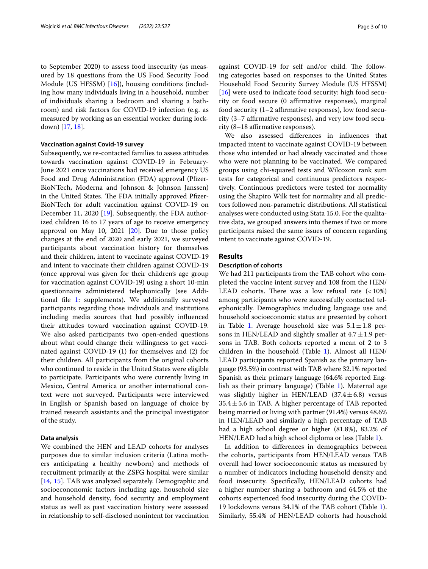to September 2020) to assess food insecurity (as measured by 18 questions from the US Food Security Food Module (US HFSSM) [\[16](#page-9-7)]), housing conditions (including how many individuals living in a household, number of individuals sharing a bedroom and sharing a bathroom) and risk factors for COVID-19 infection (e.g. as measured by working as an essential worker during lockdown) [\[17](#page-9-8), [18\]](#page-9-9).

## **Vaccination against Covid‑19 survey**

Subsequently, we re-contacted families to assess attitudes towards vaccination against COVID-19 in February-June 2021 once vaccinations had received emergency US Food and Drug Administration (FDA) approval (Pfizer-BioNTech, Moderna and Johnson & Johnson Janssen) in the United States. The FDA initially approved Pfizer-BioNTech for adult vaccination against COVID-19 on December 11, 2020 [[19](#page-9-10)]. Subsequently, the FDA authorized children 16 to 17 years of age to receive emergency approval on May 10, 2021  $[20]$  $[20]$ . Due to those policy changes at the end of 2020 and early 2021, we surveyed participants about vaccination history for themselves and their children, intent to vaccinate against COVID-19 and intent to vaccinate their children against COVID-19 (once approval was given for their children's age group for vaccination against COVID-19) using a short 10-min questionnaire administered telephonically (see Additional fle [1](#page-8-8): supplements). We additionally surveyed participants regarding those individuals and institutions including media sources that had possibly infuenced their attitudes toward vaccination against COVID-19. We also asked participants two open-ended questions about what could change their willingness to get vaccinated against COVID-19 (1) for themselves and (2) for their children. All participants from the original cohorts who continued to reside in the United States were eligible to participate. Participants who were currently living in Mexico, Central America or another international context were not surveyed. Participants were interviewed in English or Spanish based on language of choice by trained research assistants and the principal investigator of the study.

## **Data analysis**

We combined the HEN and LEAD cohorts for analyses purposes due to similar inclusion criteria (Latina mothers anticipating a healthy newborn) and methods of recruitment primarily at the ZSFG hospital were similar [[14,](#page-9-5) [15\]](#page-9-6). TAB was analyzed separately. Demographic and socioecononomic factors including age, household size and household density, food security and employment status as well as past vaccination history were assessed in relationship to self-disclosed nonintent for vaccination against COVID-19 for self and/or child. The following categories based on responses to the United States Household Food Security Survey Module (US HFSSM) [[16\]](#page-9-7) were used to indicate food security: high food security or food secure (0 affirmative responses), marginal food security  $(1-2)$  affirmative responses), low food security  $(3-7)$  affirmative responses), and very low food security  $(8-18$  affirmative responses).

We also assessed diferences in infuences that impacted intent to vaccinate against COVID-19 between those who intended or had already vaccinated and those who were not planning to be vaccinated. We compared groups using chi-squared tests and Wilcoxon rank sum tests for categorical and continuous predictors respectively. Continuous predictors were tested for normality using the Shapiro Wilk test for normality and all predictors followed non-parametric distributions. All statistical analyses were conducted using Stata 15.0. For the qualitative data, we grouped answers into themes if two or more participants raised the same issues of concern regarding intent to vaccinate against COVID-19.

#### **Results**

## **Description of cohorts**

We had 211 participants from the TAB cohort who completed the vaccine intent survey and 108 from the HEN/ LEAD cohorts. There was a low refusal rate  $( < 10\%)$ among participants who were successfully contacted telephonically. Demographics including language use and household socioeconomic status are presented by cohort in Table [1.](#page-3-0) Average household size was  $5.1 \pm 1.8$  persons in HEN/LEAD and slightly smaller at  $4.7 \pm 1.9$  persons in TAB. Both cohorts reported a mean of 2 to 3 children in the household (Table [1\)](#page-3-0). Almost all HEN/ LEAD participants reported Spanish as the primary language (93.5%) in contrast with TAB where 32.1% reported Spanish as their primary language (64.6% reported English as their primary language) (Table [1](#page-3-0)). Maternal age was slightly higher in HEN/LEAD  $(37.4 \pm 6.8)$  versus  $35.4 \pm 5.6$  in TAB. A higher percentage of TAB reported being married or living with partner (91.4%) versus 48.6% in HEN/LEAD and similarly a high percentage of TAB had a high school degree or higher (81.8%), 83.2% of HEN/LEAD had a high school diploma or less (Table [1](#page-3-0)).

In addition to diferences in demographics between the cohorts, participants from HEN/LEAD versus TAB overall had lower socioeconomic status as measured by a number of indicators including household density and food insecurity. Specifcally, HEN/LEAD cohorts had a higher number sharing a bathroom and 64.5% of the cohorts experienced food insecurity during the COVID-19 lockdowns versus 34.1% of the TAB cohort (Table [1](#page-3-0)). Similarly, 55.4% of HEN/LEAD cohorts had household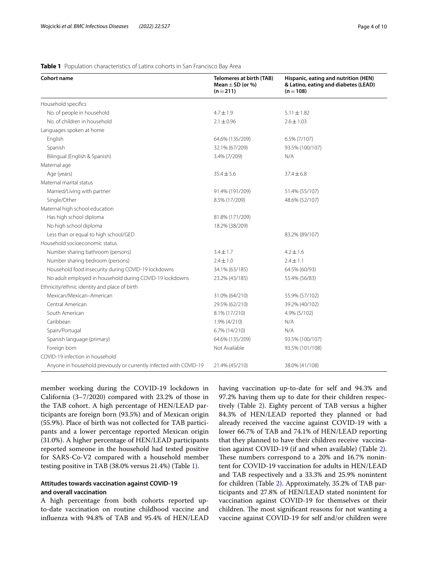## <span id="page-3-0"></span>**Table 1** Population characteristics of Latinx cohorts in San Francisco Bay Area

| <b>Cohort name</b>                                                 | <b>Telomeres at birth (TAB)</b><br>Mean $\pm$ SD (or %)<br>$(n=211)$ | Hispanic, eating and nutrition (HEN)<br>& Latino, eating and diabetes (LEAD)<br>$(n=108)$ |
|--------------------------------------------------------------------|----------------------------------------------------------------------|-------------------------------------------------------------------------------------------|
| Household specifics                                                |                                                                      |                                                                                           |
| No. of people in household                                         | $4.7 \pm 1.9$                                                        | $5.11 \pm 1.82$                                                                           |
| No. of children in household                                       | $2.1 \pm 0.96$                                                       | $2.6 \pm 1.03$                                                                            |
| Languages spoken at home                                           |                                                                      |                                                                                           |
| English                                                            | 64.6% (135/209)                                                      | 6.5% (7/107)                                                                              |
| Spanish                                                            | 32.1% (67/209)                                                       | 93.5% (100/107)                                                                           |
| Bilingual (English & Spanish)                                      | 3.4% (7/209)                                                         | N/A                                                                                       |
| Maternal age                                                       |                                                                      |                                                                                           |
| Age (years)                                                        | $35.4 \pm 5.6$                                                       | $37.4 \pm 6.8$                                                                            |
| Maternal marital status                                            |                                                                      |                                                                                           |
| Married/Living with partner                                        | 91.4% (191/209)                                                      | 51.4% (55/107)                                                                            |
| Single/Other                                                       | 8.5% (17/209)                                                        | 48.6% (52/107)                                                                            |
| Maternal high school education                                     |                                                                      |                                                                                           |
| Has high school diploma                                            | 81.8% (171/209)                                                      |                                                                                           |
| No high school diploma                                             | 18.2% (38/209)                                                       |                                                                                           |
| Less than or equal to high school/GED                              |                                                                      | 83.2% (89/107)                                                                            |
| Household socioeconomic status                                     |                                                                      |                                                                                           |
| Number sharing bathroom (persons)                                  | $3.4 \pm 1.7$                                                        | $4.2 + 1.6$                                                                               |
| Number sharing bedroom (persons)                                   | $2.4 \pm 1.0$                                                        | $2.4 \pm 1.1$                                                                             |
| Household food insecurity during COVID-19 lockdowns                | 34.1% (63/185)                                                       | 64.5% (60/93)                                                                             |
| No adult employed in household during COVID-19 lockdowns           | 23.2% (43/185)                                                       | 55.4% (56/83)                                                                             |
| Ethnicity/ethnic identity and place of birth                       |                                                                      |                                                                                           |
| Mexican/Mexican-American                                           | 31.0% (64/210)                                                       | 55.9% (57/102)                                                                            |
| Central American                                                   | 29.5% (62/210)                                                       | 39.2% (40/102)                                                                            |
| South American                                                     | 8.1% (17/210)                                                        | 4.9% (5/102)                                                                              |
| Caribbean                                                          | 1.9% (4/210)                                                         | N/A                                                                                       |
| Spain/Portugal                                                     | 6.7% (14/210)                                                        | N/A                                                                                       |
| Spanish language (primary)                                         | 64.6% (135/209)                                                      | 93.5% (100/107)                                                                           |
| Foreign born                                                       | Not Available                                                        | 93.5% (101/108)                                                                           |
| COVID-19 infection in household                                    |                                                                      |                                                                                           |
| Anyone in household previously or currently infected with COVID-19 | 21.4% (45/210)                                                       | 38.0% (41/108)                                                                            |

member working during the COVID-19 lockdown in California (3–7/2020) compared with 23.2% of those in the TAB cohort. A high percentage of HEN/LEAD participants are foreign born (93.5%) and of Mexican origin (55.9%). Place of birth was not collected for TAB participants and a lower percentage reported Mexican origin (31.0%). A higher percentage of HEN/LEAD participants reported someone in the household had tested positive for SARS-Co-V2 compared with a household member testing positive in TAB (38.0% versus 21.4%) (Table [1\)](#page-3-0).

# **Attitudes towards vaccination against COVID‑19 and overall vaccination**

A high percentage from both cohorts reported upto-date vaccination on routine childhood vaccine and infuenza with 94.8% of TAB and 95.4% of HEN/LEAD having vaccination up-to-date for self and 94.3% and 97.2% having them up to date for their children respectively (Table [2](#page-4-0)). Eighty percent of TAB versus a higher 84.3% of HEN/LEAD reported they planned or had already received the vaccine against COVID-19 with a lower 66.7% of TAB and 74.1% of HEN/LEAD reporting that they planned to have their children receive vaccination against COVID-19 (if and when available) (Table [2](#page-4-0)). These numbers correspond to a 20% and 16.7% nonintent for COVID-19 vaccination for adults in HEN/LEAD and TAB respectively and a 33.3% and 25.9% nonintent for children (Table [2](#page-4-0)). Approximately, 35.2% of TAB participants and 27.8% of HEN/LEAD stated nonintent for vaccination against COVID-19 for themselves or their children. The most significant reasons for not wanting a vaccine against COVID-19 for self and/or children were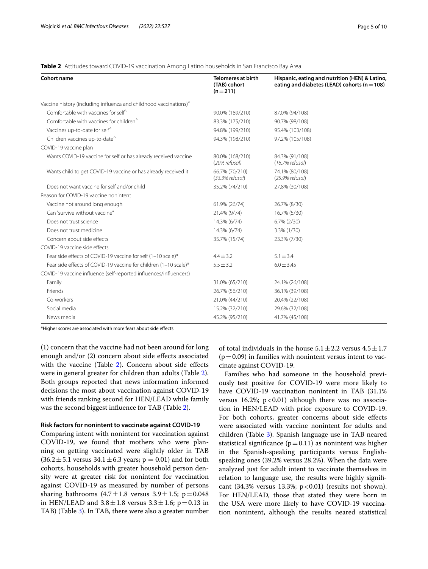#### <span id="page-4-0"></span>**Table 2** Attitudes toward COVID-19 vaccination Among Latino households in San Francisco Bay Area

| Cohort name                                                                   | <b>Telomeres at birth</b><br>(TAB) cohort<br>$(n=211)$ | Hispanic, eating and nutrition (HEN) & Latino,<br>eating and diabetes (LEAD) cohorts ( $n = 108$ ) |  |  |
|-------------------------------------------------------------------------------|--------------------------------------------------------|----------------------------------------------------------------------------------------------------|--|--|
| Vaccine history (including influenza and childhood vaccinations) <sup>^</sup> |                                                        |                                                                                                    |  |  |
| Comfortable with vaccines for self <sup>^</sup>                               | 90.0% (189/210)                                        | 87.0% (94/108)                                                                                     |  |  |
| Comfortable with vaccines for children <sup>^</sup>                           | 83.3% (175/210)                                        | 90.7% (98/108)                                                                                     |  |  |
| Vaccines up-to-date for self <sup>^</sup>                                     | 94.8% (199/210)                                        | 95.4% (103/108)                                                                                    |  |  |
| Children vaccines up-to-date <sup>^</sup>                                     | 94.3% (198/210)                                        | 97.2% (105/108)                                                                                    |  |  |
| COVID-19 vaccine plan                                                         |                                                        |                                                                                                    |  |  |
| Wants COVID-19 vaccine for self or has already received vaccine               | 80.0% (168/210)<br>(20% refusal)                       | 84.3% (91/108)<br>$(16.7%$ refusal)                                                                |  |  |
| Wants child to get COVID-19 vaccine or has already received it                | 66.7% (70/210)<br>$(33.3%$ refusal)                    | 74.1% (80/108)<br>$(25.9%$ refusal)                                                                |  |  |
| Does not want vaccine for self and/or child                                   | 35.2% (74/210)                                         | 27.8% (30/108)                                                                                     |  |  |
| Reason for COVID-19 vaccine nonintent                                         |                                                        |                                                                                                    |  |  |
| Vaccine not around long enough                                                | 61.9% (26/74)                                          | 26.7% (8/30)                                                                                       |  |  |
| Can "survive without vaccine"                                                 | 21.4% (9/74)                                           | 16.7% (5/30)                                                                                       |  |  |
| Does not trust science                                                        | 14.3% (6/74)                                           | $6.7\%$ (2/30)                                                                                     |  |  |
| Does not trust medicine                                                       | 14.3% (6/74)                                           | 3.3% (1/30)                                                                                        |  |  |
| Concern about side effects                                                    | 35.7% (15/74)                                          | 23.3% (7/30)                                                                                       |  |  |
| COVID-19 vaccine side effects                                                 |                                                        |                                                                                                    |  |  |
| Fear side effects of COVID-19 vaccine for self (1-10 scale)*                  | $4.4 \pm 3.2$                                          | $5.1 \pm 3.4$                                                                                      |  |  |
| Fear side effects of COVID-19 vaccine for children (1-10 scale)*              | $5.5 \pm 3.2$                                          | $6.0 \pm 3.45$                                                                                     |  |  |
| COVID-19 vaccine influence (self-reported influences/influencers)             |                                                        |                                                                                                    |  |  |
| Family                                                                        | 31.0% (65/210)                                         | 24.1% (26/108)                                                                                     |  |  |
| Friends                                                                       | 26.7% (56/210)                                         | 36.1% (39/108)                                                                                     |  |  |
| Co-workers                                                                    | 21.0% (44/210)                                         | 20.4% (22/108)                                                                                     |  |  |
| Social media                                                                  | 15.2% (32/210)                                         | 29.6% (32/108)                                                                                     |  |  |
| News media                                                                    | 45.2% (95/210)                                         | 41.7% (45/108)                                                                                     |  |  |

\*Higher scores are associated with more fears about side efects

(1) concern that the vaccine had not been around for long enough and/or (2) concern about side efects associated with the vaccine (Table [2](#page-4-0)). Concern about side effects were in general greater for children than adults (Table [2](#page-4-0)). Both groups reported that news information informed decisions the most about vaccination against COVID-19 with friends ranking second for HEN/LEAD while family was the second biggest infuence for TAB (Table [2\)](#page-4-0).

#### **Risk factors for nonintent to vaccinate against COVID‑19**

Comparing intent with nonintent for vaccination against COVID-19, we found that mothers who were planning on getting vaccinated were slightly older in TAB  $(36.2 \pm 5.1 \text{ versus } 34.1 \pm 6.3 \text{ years}; p = 0.01)$  and for both cohorts, households with greater household person density were at greater risk for nonintent for vaccination against COVID-19 as measured by number of persons sharing bathrooms  $(4.7 \pm 1.8 \text{ versus } 3.9 \pm 1.5; \text{ p} = 0.048)$ in HEN/LEAD and  $3.8 \pm 1.8$  versus  $3.3 \pm 1.6$ ; p=0.13 in TAB) (Table [3\)](#page-5-0). In TAB, there were also a greater number of total individuals in the house  $5.1 \pm 2.2$  versus  $4.5 \pm 1.7$  $(p=0.09)$  in families with nonintent versus intent to vaccinate against COVID-19.

Families who had someone in the household previously test positive for COVID-19 were more likely to have COVID-19 vaccination nonintent in TAB (31.1% versus 16.2%;  $p < 0.01$ ) although there was no association in HEN/LEAD with prior exposure to COVID-19. For both cohorts, greater concerns about side efects were associated with vaccine nonintent for adults and children (Table [3\)](#page-5-0). Spanish language use in TAB neared statistical significance  $(p=0.11)$  as nonintent was higher in the Spanish-speaking participants versus Englishspeaking ones (39.2% versus 28.2%). When the data were analyzed just for adult intent to vaccinate themselves in relation to language use, the results were highly signifcant (34.3% versus 13.3%;  $p < 0.01$ ) (results not shown). For HEN/LEAD, those that stated they were born in the USA were more likely to have COVID-19 vaccination nonintent, although the results neared statistical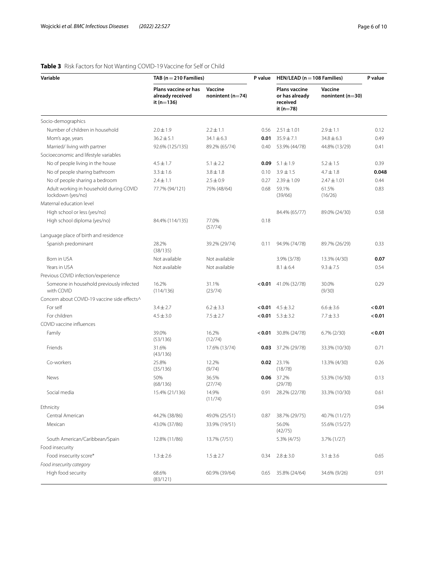# <span id="page-5-0"></span>**Table 3** Risk Factors for Not Wanting COVID-19 Vaccine for Self or Child

| Variable                                                     | TAB ( $n = 210$ Families)                                  |                                 | P value | HEN/LEAD ( $n = 108$ Families)                                    |                                 | P value |
|--------------------------------------------------------------|------------------------------------------------------------|---------------------------------|---------|-------------------------------------------------------------------|---------------------------------|---------|
|                                                              | Plans vaccine or has<br>already received<br>it ( $n=136$ ) | Vaccine<br>nonintent ( $n=74$ ) |         | <b>Plans vaccine</b><br>or has already<br>received<br>it $(n=78)$ | Vaccine<br>nonintent ( $n=30$ ) |         |
| Socio-demographics                                           |                                                            |                                 |         |                                                                   |                                 |         |
| Number of children in household                              | $2.0 \pm 1.9$                                              | $2.2 \pm 1.1$                   | 0.56    | $2.51 \pm 1.01$                                                   | $2.9 \pm 1.1$                   | 0.12    |
| Mom's age, years                                             | $36.2 \pm 5.1$                                             | $34.1 \pm 6.3$                  | 0.01    | $35.9 \pm 7.1$                                                    | $34.8 \pm 6.3$                  | 0.49    |
| Married/Iiving with partner                                  | 92.6% (125/135)                                            | 89.2% (65/74)                   | 0.40    | 53.9% (44/78)                                                     | 44.8% (13/29)                   | 0.41    |
| Socioeconomic and lifestyle variables                        |                                                            |                                 |         |                                                                   |                                 |         |
| No of people living in the house                             | $4.5 \pm 1.7$                                              | $5.1 \pm 2.2$                   | 0.09    | $5.1 \pm 1.9$                                                     | $5.2 \pm 1.5$                   | 0.39    |
| No of people sharing bathroom                                | $3.3 \pm 1.6$                                              | $3.8 \pm 1.8$                   | 0.10    | $3.9 \pm 1.5$                                                     | $4.7 \pm 1.8$                   | 0.048   |
| No of people sharing a bedroom                               | $2.4 \pm 1.1$                                              | $2.5 \pm 0.9$                   | 0.27    | $2.39 \pm 1.09$                                                   | $2.47 \pm 1.01$                 | 0.44    |
| Adult working in household during COVID<br>lockdown (yes/no) | 77.7% (94/121)                                             | 75% (48/64)                     | 0.68    | 59.1%<br>(39/66)                                                  | 61.5%<br>(16/26)                | 0.83    |
| Maternal education level                                     |                                                            |                                 |         |                                                                   |                                 |         |
| High school or less (yes/no)                                 |                                                            |                                 |         | 84.4% (65/77)                                                     | 89.0% (24/30)                   | 0.58    |
| High school diploma (yes/no)                                 | 84.4% (114/135)                                            | 77.0%<br>(57/74)                | 0.18    |                                                                   |                                 |         |
| Language place of birth and residence                        |                                                            |                                 |         |                                                                   |                                 |         |
| Spanish predominant                                          | 28.2%<br>(38/135)                                          | 39.2% (29/74)                   | 0.11    | 94.9% (74/78)                                                     | 89.7% (26/29)                   | 0.33    |
| Born in USA                                                  | Not available                                              | Not available                   |         | 3.9% (3/78)                                                       | 13.3% (4/30)                    | 0.07    |
| Years in USA                                                 | Not available                                              | Not available                   |         | $8.1 \pm 6.4$                                                     | $9.3 \pm 7.5$                   | 0.54    |
| Previous COVID infection/experience                          |                                                            |                                 |         |                                                                   |                                 |         |
| Someone in household previously infected<br>with COVID       | 16.2%<br>(114/136)                                         | 31.1%<br>(23/74)                | 0.01    | 41.0% (32/78)                                                     | 30.0%<br>(9/30)                 | 0.29    |
| Concern about COVID-19 vaccine side effects^                 |                                                            |                                 |         |                                                                   |                                 |         |
| For self                                                     | $3.4 \pm 2.7$                                              | $6.2 \pm 3.3$                   |         | $<0.01$ 4.5 $\pm$ 3.2                                             | $6.6 \pm 3.6$                   | < 0.01  |
| For children                                                 | $4.5 \pm 3.0$                                              | $7.5 \pm 2.7$                   | < 0.01  | $5.3 \pm 3.2$                                                     | $7.7 \pm 3.3$                   | < 0.01  |
| COVID vaccine influences                                     |                                                            |                                 |         |                                                                   |                                 |         |
| Family                                                       | 39.0%<br>(53/136)                                          | 16.2%<br>(12/74)                | < 0.01  | 30.8% (24/78)                                                     | $6.7\%$ (2/30)                  | < 0.01  |
| Friends                                                      | 31.6%<br>(43/136)                                          | 17.6% (13/74)                   | 0.03    | 37.2% (29/78)                                                     | 33.3% (10/30)                   | 0.71    |
| Co-workers                                                   | 25.8%<br>(35/136)                                          | 12.2%<br>(9/74)                 |         | 0.02 23.1%<br>(18/78)                                             | 13.3% (4/30)                    | 0.26    |
| News                                                         | 50%<br>(68/136)                                            | 36.5%<br>(27/74)                | 0.06    | 37.2%<br>(29/78)                                                  | 53.3% (16/30)                   | 0.13    |
| Social media                                                 | 15.4% (21/136)                                             | 14.9%<br>(11/74)                | 0.91    | 28.2% (22/78)                                                     | 33.3% (10/30)                   | 0.61    |
| Ethnicity                                                    |                                                            |                                 |         |                                                                   |                                 | 0.94    |
| Central American                                             | 44.2% (38/86)                                              | 49.0% (25/51)                   | 0.87    | 38.7% (29/75)                                                     | 40.7% (11/27)                   |         |
| Mexican                                                      | 43.0% (37/86)                                              | 33.9% (19/51)                   |         | 56.0%<br>(42/75)                                                  | 55.6% (15/27)                   |         |
| South American/Caribbean/Spain                               | 12.8% (11/86)                                              | 13.7% (7/51)                    |         | 5.3% (4/75)                                                       | 3.7% (1/27)                     |         |
| Food insecurity                                              |                                                            |                                 |         |                                                                   |                                 |         |
| Food insecurity score*<br>Food insecurity category           | $1.3 \pm 2.6$                                              | $1.5 \pm 2.7$                   | 0.34    | $2.8 \pm 3.0$                                                     | $3.1 \pm 3.6$                   | 0.65    |
| High food security                                           | 68.6%<br>(83/121)                                          | 60.9% (39/64)                   | 0.65    | 35.8% (24/64)                                                     | 34.6% (9/26)                    | 0.91    |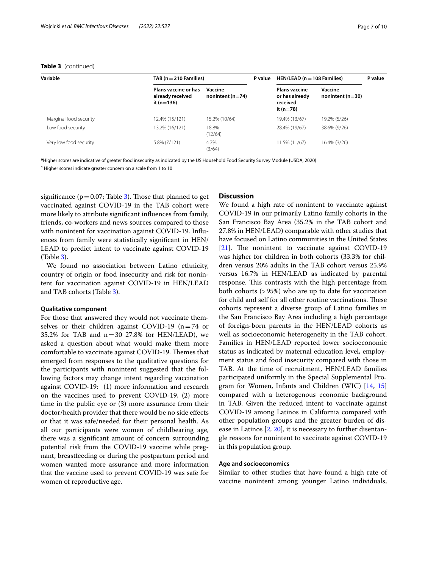# **Table 3** (continued)

| Variable               |                                                            | TAB ( $n = 210$ Families)       |  | HEN/LEAD ( $n = 108$ Families)                                      |                                 | P value |
|------------------------|------------------------------------------------------------|---------------------------------|--|---------------------------------------------------------------------|---------------------------------|---------|
|                        | Plans vaccine or has<br>already received<br>it ( $n=136$ ) | Vaccine<br>nonintent ( $n=74$ ) |  | <b>Plans vaccine</b><br>or has already<br>received<br>it ( $n=78$ ) | Vaccine<br>nonintent ( $n=30$ ) |         |
| Marginal food security | 12.4% (15/121)                                             | 15.2% (10/64)                   |  | 19.4% (13/67)                                                       | 19.2% (5/26)                    |         |
| Low food security      | 13.2% (16/121)                                             | 18.8%<br>(12/64)                |  | 28.4% (19/67)                                                       | 38.6% (9/26)                    |         |
| Very low food security | 5.8% (7/121)                                               | 4.7%<br>(3/64)                  |  | 11.5% (11/67)                                                       | 16.4% (3/26)                    |         |

**\***Higher scores are indicative of greater food insecurity as indicated by the US Household Food Security Survey Module **(**USDA, 2020)

 $^{\wedge}$  Higher scores indicate greater concern on a scale from 1 to 10

significance ( $p=0.07$ ; Table [3](#page-5-0)). Those that planned to get vaccinated against COVID-19 in the TAB cohort were more likely to attribute signifcant infuences from family, friends, co-workers and news sources compared to those with nonintent for vaccination against COVID-19. Infuences from family were statistically signifcant in HEN/ LEAD to predict intent to vaccinate against COVID-19 (Table [3](#page-5-0)).

We found no association between Latino ethnicity, country of origin or food insecurity and risk for nonintent for vaccination against COVID-19 in HEN/LEAD and TAB cohorts (Table [3\)](#page-5-0).

## **Qualitative component**

For those that answered they would not vaccinate themselves or their children against COVID-19  $(n=74)$  or 35.2% for TAB and  $n=30$  27.8% for HEN/LEAD), we asked a question about what would make them more comfortable to vaccinate against COVID-19. Themes that emerged from responses to the qualitative questions for the participants with nonintent suggested that the following factors may change intent regarding vaccination against COVID-19: (1) more information and research on the vaccines used to prevent COVID-19, (2) more time in the public eye or (3) more assurance from their doctor/health provider that there would be no side efects or that it was safe/needed for their personal health. As all our participants were women of childbearing age, there was a signifcant amount of concern surrounding potential risk from the COVID-19 vaccine while pregnant, breastfeeding or during the postpartum period and women wanted more assurance and more information that the vaccine used to prevent COVID-19 was safe for women of reproductive age.

## **Discussion**

We found a high rate of nonintent to vaccinate against COVID-19 in our primarily Latino family cohorts in the San Francisco Bay Area (35.2% in the TAB cohort and 27.8% in HEN/LEAD) comparable with other studies that have focused on Latino communities in the United States  $[21]$  $[21]$ . The nonintent to vaccinate against COVID-19 was higher for children in both cohorts (33.3% for children versus 20% adults in the TAB cohort versus 25.9% versus 16.7% in HEN/LEAD as indicated by parental response. This contrasts with the high percentage from both cohorts (>95%) who are up to date for vaccination for child and self for all other routine vaccinations. These cohorts represent a diverse group of Latino families in the San Francisco Bay Area including a high percentage of foreign-born parents in the HEN/LEAD cohorts as well as socioeconomic heterogeneity in the TAB cohort. Families in HEN/LEAD reported lower socioeconomic status as indicated by maternal education level, employment status and food insecurity compared with those in TAB. At the time of recruitment, HEN/LEAD families participated uniformly in the Special Supplemental Program for Women, Infants and Children (WIC) [[14,](#page-9-5) [15](#page-9-6)] compared with a heterogenous economic background in TAB. Given the reduced intent to vaccinate against COVID-19 among Latinos in California compared with other population groups and the greater burden of disease in Latinos [\[2](#page-8-1), [20\]](#page-9-11), it is necessary to further disentangle reasons for nonintent to vaccinate against COVID-19 in this population group.

#### **Age and socioeconomics**

Similar to other studies that have found a high rate of vaccine nonintent among younger Latino individuals,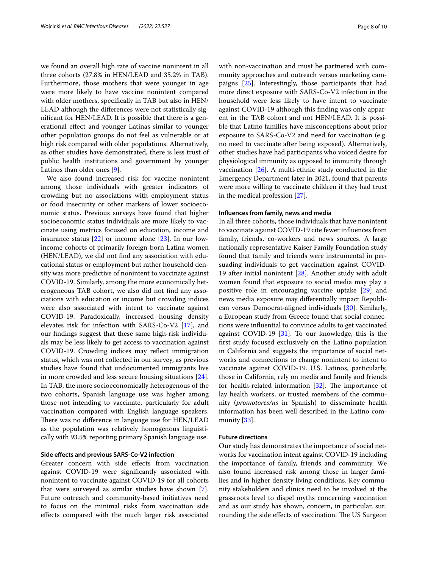we found an overall high rate of vaccine nonintent in all three cohorts (27.8% in HEN/LEAD and 35.2% in TAB). Furthermore, those mothers that were younger in age were more likely to have vaccine nonintent compared with older mothers, specifcally in TAB but also in HEN/ LEAD although the diferences were not statistically signifcant for HEN/LEAD. It is possible that there is a generational efect and younger Latinas similar to younger other population groups do not feel as vulnerable or at high risk compared with older populations. Alternatively, as other studies have demonstrated, there is less trust of public health institutions and government by younger Latinos than older ones [\[9](#page-9-0)].

We also found increased risk for vaccine nonintent among those individuals with greater indicators of crowding but no associations with employment status or food insecurity or other markers of lower socioeconomic status. Previous surveys have found that higher socioeconomic status individuals are more likely to vaccinate using metrics focused on education, income and insurance status [[22\]](#page-9-13) or income alone [[23\]](#page-9-14). In our lowincome cohorts of primarily foreign-born Latina women (HEN/LEAD), we did not fnd any association with educational status or employment but rather household density was more predictive of nonintent to vaccinate against COVID-19. Similarly, among the more economically heterogeneous TAB cohort, we also did not fnd any associations with education or income but crowding indices were also associated with intent to vaccinate against COVID-19. Paradoxically, increased housing density elevates risk for infection with SARS-Co-V2 [\[17](#page-9-8)], and our fndings suggest that these same high-risk individuals may be less likely to get access to vaccination against COVID-19. Crowding indices may refect immigration status, which was not collected in our survey, as previous studies have found that undocumented immigrants live in more crowded and less secure housing situations [\[24](#page-9-15)]. In TAB, the more socioeconomically heterogenous of the two cohorts, Spanish language use was higher among those not intending to vaccinate, particularly for adult vaccination compared with English language speakers. There was no difference in language use for HEN/LEAD as the population was relatively homogenous linguistically with 93.5% reporting primary Spanish language use.

## **Side efects and previous SARS‑Co‑V2 infection**

Greater concern with side efects from vaccination against COVID-19 were signifcantly associated with nonintent to vaccinate against COVID-19 for all cohorts that were surveyed as similar studies have shown [\[7](#page-8-6)]. Future outreach and community-based initiatives need to focus on the minimal risks from vaccination side efects compared with the much larger risk associated with non-vaccination and must be partnered with community approaches and outreach versus marketing campaigns [[25\]](#page-9-16). Interestingly, those participants that had more direct exposure with SARS-Co-V2 infection in the household were less likely to have intent to vaccinate against COVID-19 although this fnding was only apparent in the TAB cohort and not HEN/LEAD. It is possible that Latino families have misconceptions about prior exposure to SARS-Co-V2 and need for vaccination (e.g. no need to vaccinate after being exposed). Alternatively, other studies have had participants who voiced desire for physiological immunity as opposed to immunity through vaccination [\[26](#page-9-17)]. A multi-ethnic study conducted in the Emergency Department later in 2021, found that parents were more willing to vaccinate children if they had trust in the medical profession [[27\]](#page-9-18).

#### **Infuences from family, news and media**

In all three cohorts, those individuals that have nonintent to vaccinate against COVID-19 cite fewer infuences from family, friends, co-workers and news sources. A large nationally representative Kaiser Family Foundation study found that family and friends were instrumental in persuading individuals to get vaccination against COVID-19 after initial nonintent [\[28](#page-9-19)]. Another study with adult women found that exposure to social media may play a positive role in encouraging vaccine uptake [[29\]](#page-9-20) and news media exposure may diferentially impact Republican versus Democrat-aligned individuals [[30](#page-9-21)]. Similarly, a European study from Greece found that social connections were infuential to convince adults to get vaccinated against COVID-19 [[31\]](#page-9-22). To our knowledge, this is the frst study focused exclusively on the Latino population in California and suggests the importance of social networks and connections to change nonintent to intent to vaccinate against COVID-19. U.S. Latinos, particularly, those in California, rely on media and family and friends for health-related information  $[32]$  $[32]$ . The importance of lay health workers, or trusted members of the community (*promotores/as* in Spanish) to disseminate health information has been well described in the Latino community [[33](#page-9-24)].

#### **Future directions**

Our study has demonstrates the importance of social networks for vaccination intent against COVID-19 including the importance of family, friends and community. We also found increased risk among those in larger families and in higher density living conditions. Key community stakeholders and clinics need to be involved at the grassroots level to dispel myths concerning vaccination and as our study has shown, concern, in particular, surrounding the side effects of vaccination. The US Surgeon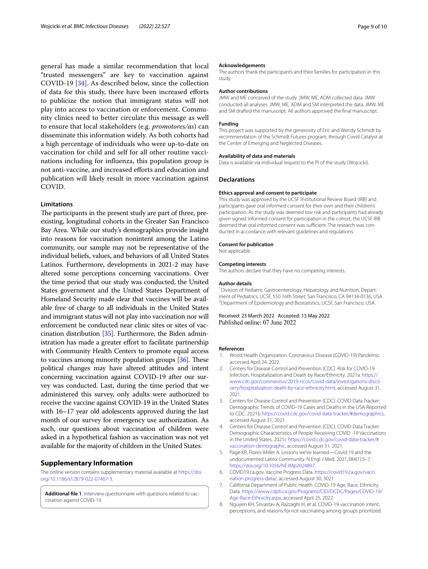general has made a similar recommendation that local "trusted messengers" are key to vaccination against COVID-19 [\[34\]](#page-9-25). As described below, since the collection of data for this study, there have been increased eforts to publicize the notion that immigrant status will not play into access to vaccination or enforcement. Community clinics need to better circulate this message as well to ensure that local stakeholders (e.g. *promotores/as*) can disseminate this information widely. As both cohorts had a high percentage of individuals who were up-to-date on vaccination for child and self for all other routine vaccinations including for infuenza, this population group is not anti-vaccine, and increased eforts and education and publication will likely result in more vaccination against COVID.

#### **Limitations**

The participants in the present study are part of three, preexisting, longitudinal cohorts in the Greater San Francisco Bay Area. While our study's demographics provide insight into reasons for vaccination nonintent among the Latino community, our sample may not be representative of the individual beliefs, values, and behaviors of all United States Latinos. Furthermore, developments in 2021-2 may have altered some perceptions concerning vaccinations. Over the time period that our study was conducted, the United States government and the United States Department of Homeland Security made clear that vaccines will be available free of charge to all individuals in the United States and immigrant status will not play into vaccination nor will enforcement be conducted near clinic sites or sites of vaccination distribution [\[35\]](#page-9-26). Furthermore, the Biden administration has made a greater effort to facilitate partnership with Community Health Centers to promote equal access to vaccines among minority population groups  $[36]$  $[36]$  $[36]$ . These political changes may have altered attitudes and intent concerning vaccination against COVID-19 after our survey was conducted. Last, during the time period that we administered this survey, only adults were authorized to receive the vaccine against COVID-19 in the United States with 16–17 year old adolescents approved during the last month of our survey for emergency use authorization. As such, our questions about vaccination of children were asked in a hypothetical fashion as vaccination was not yet available for the majority of children in the United States.

## **Supplementary Information**

The online version contains supplementary material available at [https://doi.](https://doi.org/10.1186/s12879-022-07467-3) [org/10.1186/s12879-022-07467-3](https://doi.org/10.1186/s12879-022-07467-3).

<span id="page-8-8"></span>**Additional fle 1**. Interview questionnaire with questions related to vaccination against COVID-19.

#### **Acknowledgements**

The authors thank the participants and their families for participation in this study.

#### **Author contributions**

JMW and ME conceived of the study. JMW, ME, ADM collected data. JMW conducted all analyses. JMW, ME, ADM and SM interpreted the data. JMW, ME and SM drafted the manuscript. All authors approved the fnal manuscript.

#### **Funding**

This project was supported by the generosity of Eric and Wendy Schmidt by recommendation of the Schmidt Futures program, through Covid Catalyst at the Center of Emerging and Neglected Diseases.

#### **Availability of data and materials**

Data is available via individual request to the PI of the study (Wojcicki).

#### **Declarations**

## **Ethics approval and consent to participate**

This study was approved by the UCSF Institutional Review Board (IRB) and participants gave oral informed consent for their own and their children's participation. As the study was deemed low risk and participants had already given signed informed consent for participation in the cohort, the UCSF IRB deemed that oral informed consent was sufficient. The research was conducted in accordance with relevant guidelines and regulations.

#### **Consent for publication**

Not applicable.

#### **Competing interests**

The authors declare that they have no competing interests.

#### **Author details**

<sup>1</sup> Division of Pediatric Gastroenterology, Hepatology and Nutrition, Department of Pediatrics, UCSF, 550 16th Street, San Francisco, CA 94134-0136, USA. 2 <sup>2</sup> Department of Epidemiology and Biostatistics, UCSF, San Francisco, USA.

Received: 23 March 2022 Accepted: 13 May 2022 Published online: 07 June 2022

#### **References**

- <span id="page-8-0"></span>1. World Health Organization. Coronavirus Disease (COVID-19) Pandemic. accessed April 24, 2022.
- <span id="page-8-1"></span>2. Centers for Disease Control and Prevention (CDC). Risk for COVID-19 Infection, Hospitalization and Death by Race/Ethnicity. 2021a. [https://](https://www.cdc.gov/coronavirus/2019-ncov/covid-data/investigations-discovery/hospitalization-death-by-race-ethnicity.html) [www.cdc.gov/coronavirus/2019-ncov/covid-data/investigations-disco](https://www.cdc.gov/coronavirus/2019-ncov/covid-data/investigations-discovery/hospitalization-death-by-race-ethnicity.html) [very/hospitalization-death-by-race-ethnicity.html,](https://www.cdc.gov/coronavirus/2019-ncov/covid-data/investigations-discovery/hospitalization-death-by-race-ethnicity.html) accessed August 31, 2021.
- <span id="page-8-2"></span>3. Centers for Disease Control and Prevention (CDC). COVID Data Tracker: Demographic Trends of COVID-19 Cases and Deaths in the USA Reported to CDC. 2021b<https://covid.cdc.gov/covid-data-tracker/#demographics>, accessed August 31, 2021.
- <span id="page-8-3"></span>4. Centers for Disease Control and Prevention (CDC). COVID Data Tracker: Demographic Characteristics of People Receiving COVID -19 Vaccinations in the United States. 2021c [https://covid.cdc.gov/covid-data-tracker/#](https://covid.cdc.gov/covid-data-tracker/#vaccination-demographic) [vaccination-demographic,](https://covid.cdc.gov/covid-data-tracker/#vaccination-demographic) accessed August 31, 2021.
- <span id="page-8-4"></span>5. Page KR, Flores-Miller A. Lessons we've learned—Covid-19 and the undocumented Latinx Community. N Engl J Med. 2021;384(1):5–7. <https://doi.org/10.1056/NEJMp2024897>.
- <span id="page-8-5"></span>6. COVID19.ca.gov. Vaccine Progress Data. [https://covid19.ca.gov/vacci](https://covid19.ca.gov/vaccination-progress-data/) [nation-progress-data/](https://covid19.ca.gov/vaccination-progress-data/), accessed August 30, 3021.
- <span id="page-8-6"></span>7. California Department of Public Health. COVID-19 Age, Race, Ethnicity Data. [https://www.cdph.ca.gov/Programs/CID/DCDC/Pages/COVID-19/](https://www.cdph.ca.gov/Programs/CID/DCDC/Pages/COVID-19/Age-Race-Ethnicity.aspx) [Age-Race-Ethnicity.aspx](https://www.cdph.ca.gov/Programs/CID/DCDC/Pages/COVID-19/Age-Race-Ethnicity.aspx), accessed April 25, 2022
- <span id="page-8-7"></span>8. Nguyen KH, Srivastav A, Razzaghi H, et al. COVID-19 vaccination intent, perceptions, and reasons for not vaccinating among groups prioritized